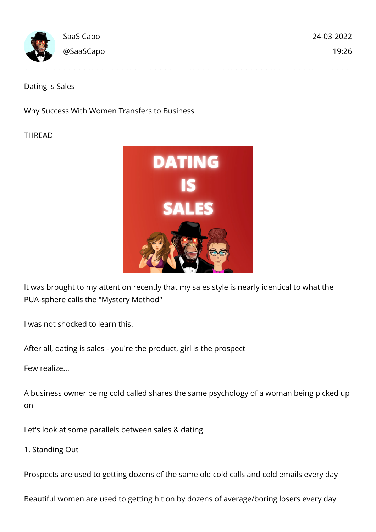| <b>Concert Commence Commence</b> | SaaS Capo | 24-03-2022 |
|----------------------------------|-----------|------------|
|                                  | @SaaSCapo | 19:26      |
|                                  |           |            |

Dating is Sales

Why Success With Women Transfers to Business

THREAD



It was brought to my attention recently that my sales style is nearly identical to what the PUA-sphere calls the "Mystery Method"

I was not shocked to learn this.

After all, dating is sales - you're the product, girl is the prospect

Few realize...

A business owner being cold called shares the same psychology of a woman being picked up on

Let's look at some parallels between sales & dating

1. Standing Out

Prospects are used to getting dozens of the same old cold calls and cold emails every day

Beautiful women are used to getting hit on by dozens of average/boring losers every day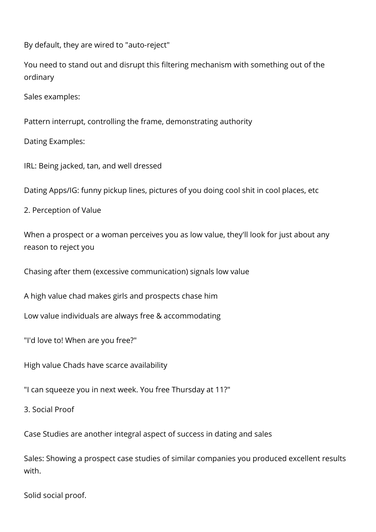By default, they are wired to "auto-reject"

You need to stand out and disrupt this filtering mechanism with something out of the ordinary

Sales examples:

Pattern interrupt, controlling the frame, demonstrating authority

Dating Examples:

IRL: Being jacked, tan, and well dressed

Dating Apps/IG: funny pickup lines, pictures of you doing cool shit in cool places, etc

2. Perception of Value

When a prospect or a woman perceives you as low value, they'll look for just about any reason to reject you

Chasing after them (excessive communication) signals low value

A high value chad makes girls and prospects chase him

Low value individuals are always free & accommodating

"I'd love to! When are you free?"

High value Chads have scarce availability

"I can squeeze you in next week. You free Thursday at 11?"

3. Social Proof

Case Studies are another integral aspect of success in dating and sales

Sales: Showing a prospect case studies of similar companies you produced excellent results with.

Solid social proof.